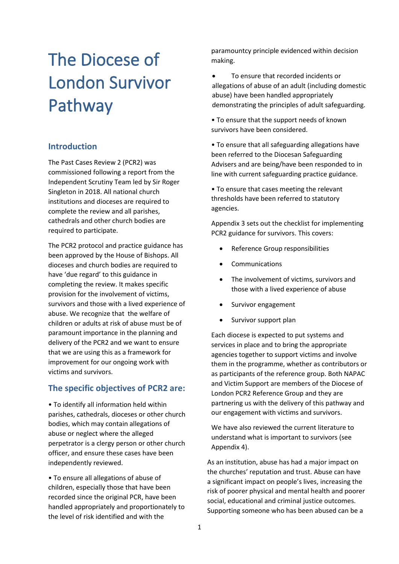# The Diocese of London Survivor Pathway

## **Introduction**

The Past Cases Review 2 (PCR2) was commissioned following a report from the Independent Scrutiny Team led by Sir Roger Singleton in 2018. All national church institutions and dioceses are required to complete the review and all parishes, cathedrals and other church bodies are required to participate.

The PCR2 protocol and practice guidance has been approved by the House of Bishops. All dioceses and church bodies are required to have 'due regard' to this guidance in completing the review. It makes specific provision for the involvement of victims, survivors and those with a lived experience of abuse. We recognize that the welfare of children or adults at risk of abuse must be of paramount importance in the planning and delivery of the PCR2 and we want to ensure that we are using this as a framework for improvement for our ongoing work with victims and survivors.

### **The specific objectives of PCR2 are:**

• To identify all information held within parishes, cathedrals, dioceses or other church bodies, which may contain allegations of abuse or neglect where the alleged perpetrator is a clergy person or other church officer, and ensure these cases have been independently reviewed.

• To ensure all allegations of abuse of children, especially those that have been recorded since the original PCR, have been handled appropriately and proportionately to the level of risk identified and with the

paramountcy principle evidenced within decision making.

To ensure that recorded incidents or allegations of abuse of an adult (including domestic abuse) have been handled appropriately demonstrating the principles of adult safeguarding.

• To ensure that the support needs of known survivors have been considered.

• To ensure that all safeguarding allegations have been referred to the Diocesan Safeguarding Advisers and are being/have been responded to in line with current safeguarding practice guidance.

• To ensure that cases meeting the relevant thresholds have been referred to statutory agencies.

Appendix 3 sets out the checklist for implementing PCR2 guidance for survivors. This covers:

- Reference Group responsibilities
- Communications
- The involvement of victims, survivors and those with a lived experience of abuse
- Survivor engagement
- Survivor support plan

Each diocese is expected to put systems and services in place and to bring the appropriate agencies together to support victims and involve them in the programme, whether as contributors or as participants of the reference group. Both NAPAC and Victim Support are members of the Diocese of London PCR2 Reference Group and they are partnering us with the delivery of this pathway and our engagement with victims and survivors.

We have also reviewed the current literature to understand what is important to survivors (see Appendix 4).

As an institution, abuse has had a major impact on the churches' reputation and trust. Abuse can have a significant impact on people's lives, increasing the risk of poorer physical and mental health and poorer social, educational and criminal justice outcomes. Supporting someone who has been abused can be a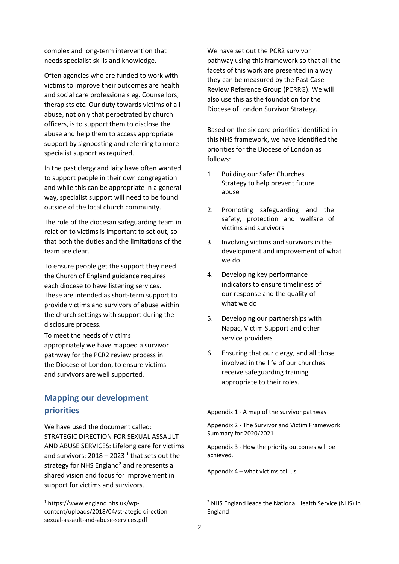complex and long-term intervention that needs specialist skills and knowledge.

Often agencies who are funded to work with victims to improve their outcomes are health and social care professionals eg. Counsellors, therapists etc. Our duty towards victims of all abuse, not only that perpetrated by church officers, is to support them to disclose the abuse and help them to access appropriate support by signposting and referring to more specialist support as required.

In the past clergy and laity have often wanted to support people in their own congregation and while this can be appropriate in a general way, specialist support will need to be found outside of the local church community.

The role of the diocesan safeguarding team in relation to victims is important to set out, so that both the duties and the limitations of the team are clear.

To ensure people get the support they need the Church of England guidance requires each diocese to have listening services. These are intended as short-term support to provide victims and survivors of abuse within the church settings with support during the disclosure process.

To meet the needs of victims appropriately we have mapped a survivor pathway for the PCR2 review process in the Diocese of London, to ensure victims and survivors are well supported.

# **Mapping our development priorities**

We have used the document called: STRATEGIC DIRECTION FOR SEXUAL ASSAULT AND ABUSE SERVICES: Lifelong care for victims and survivors:  $2018 - 2023$  <sup>1</sup> that sets out the strategy for NHS England<sup>2</sup> and represents a shared vision and focus for improvement in support for victims and survivors.

We have set out the PCR2 survivor pathway using this framework so that all the facets of this work are presented in a way they can be measured by the Past Case Review Reference Group (PCRRG). We will also use this as the foundation for the Diocese of London Survivor Strategy.

Based on the six core priorities identified in this NHS framework, we have identified the priorities for the Diocese of London as follows:

- 1. Building our Safer Churches Strategy to help prevent future abuse
- 2. Promoting safeguarding and the safety, protection and welfare of victims and survivors
- 3. Involving victims and survivors in the development and improvement of what we do
- 4. Developing key performance indicators to ensure timeliness of our response and the quality of what we do
- 5. Developing our partnerships with Napac, Victim Support and other service providers
- 6. Ensuring that our clergy, and all those involved in the life of our churches receive safeguarding training appropriate to their roles.

Appendix 1 - A map of the survivor pathway

Appendix 2 - The Survivor and Victim Framework Summary for 2020/2021

Appendix 3 - How the priority outcomes will be achieved.

Appendix 4 – what victims tell us

<sup>1</sup> https://www.england.nhs.uk/wpcontent/uploads/2018/04/strategic-directionsexual-assault-and-abuse-services.pdf

<sup>&</sup>lt;sup>2</sup> NHS England leads the National Health Service (NHS) in England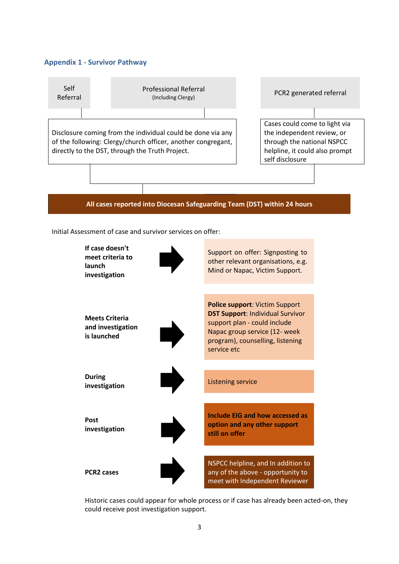#### **Appendix 1 - Survivor Pathway**



Initial Assessment of case and survivor services on offer:



Historic cases could appear for whole process or if case has already been acted-on, they could receive post investigation support.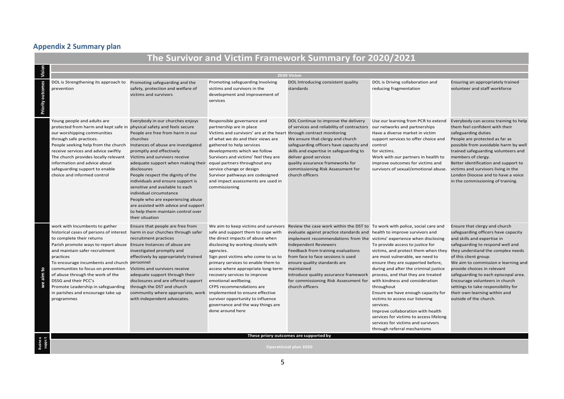# **Appendix 2 Summary plan**

| The Survivor and Victim Framework Summary for 2020/2021 |                                                                                                                                                                                                                                                                                                                                                                                                                                                                                                          |                                                                                                                                                                                                                                                                                                                                                                                                                                                                                                                                                       |                                                                                                                                                                                                                                                                                                                                                                                                                                |                                                                                                                                                                                                                                                                                                                                                                                                                                                                                                                                                                                                         |                                                                                                                                                                                                                                                                                                                                                                                                                                                                                     |                                                                                                                                                                                                                                                                                                                                                                                                                                     |
|---------------------------------------------------------|----------------------------------------------------------------------------------------------------------------------------------------------------------------------------------------------------------------------------------------------------------------------------------------------------------------------------------------------------------------------------------------------------------------------------------------------------------------------------------------------------------|-------------------------------------------------------------------------------------------------------------------------------------------------------------------------------------------------------------------------------------------------------------------------------------------------------------------------------------------------------------------------------------------------------------------------------------------------------------------------------------------------------------------------------------------------------|--------------------------------------------------------------------------------------------------------------------------------------------------------------------------------------------------------------------------------------------------------------------------------------------------------------------------------------------------------------------------------------------------------------------------------|---------------------------------------------------------------------------------------------------------------------------------------------------------------------------------------------------------------------------------------------------------------------------------------------------------------------------------------------------------------------------------------------------------------------------------------------------------------------------------------------------------------------------------------------------------------------------------------------------------|-------------------------------------------------------------------------------------------------------------------------------------------------------------------------------------------------------------------------------------------------------------------------------------------------------------------------------------------------------------------------------------------------------------------------------------------------------------------------------------|-------------------------------------------------------------------------------------------------------------------------------------------------------------------------------------------------------------------------------------------------------------------------------------------------------------------------------------------------------------------------------------------------------------------------------------|
|                                                         |                                                                                                                                                                                                                                                                                                                                                                                                                                                                                                          |                                                                                                                                                                                                                                                                                                                                                                                                                                                                                                                                                       |                                                                                                                                                                                                                                                                                                                                                                                                                                | 2030 Vision                                                                                                                                                                                                                                                                                                                                                                                                                                                                                                                                                                                             |                                                                                                                                                                                                                                                                                                                                                                                                                                                                                     |                                                                                                                                                                                                                                                                                                                                                                                                                                     |
|                                                         | DOL is Strengthening its approach to Promoting safeguarding and the<br>prevention                                                                                                                                                                                                                                                                                                                                                                                                                        | safety, protection and welfare of<br>victims and survivors                                                                                                                                                                                                                                                                                                                                                                                                                                                                                            | Promoting safeguarding Involving<br>victims and survivors in the<br>development and improvement of<br>services                                                                                                                                                                                                                                                                                                                 | DOL Introducing consistent quality<br>standards                                                                                                                                                                                                                                                                                                                                                                                                                                                                                                                                                         | DOL is Driving collaboration and<br>reducing fragmentation                                                                                                                                                                                                                                                                                                                                                                                                                          | Ensuring an appropriately trained<br>volunteer and staff workforce                                                                                                                                                                                                                                                                                                                                                                  |
|                                                         | Young people and adults are<br>protected from harm and kept safe in physical safety and feels secure<br>our worshipping communities<br>through safe practices.<br>People seeking help from the church<br>receive services and advice swiftly<br>The church provides locally relevant<br>information and advice about<br>safeguarding support to enable<br>choice and informed control                                                                                                                    | Everybody in our churches enjoys<br>People are free from harm in our<br>churches<br>Instances of abuse are investigated<br>promptly and effectively<br>Victims and survivors receive<br>adequate support when making their equal partners throughout any<br>disclosures<br>People respect the dignity of the<br>individuals and ensure support is<br>sensitive and available to each<br>individual circumstance<br>People who are experiencing abuse<br>are assisted with advice and support<br>to help them maintain control over<br>their situation | Responsible governance and<br>partnership are in place<br>Victims and survivors' are at the heart through contract monitoring<br>of what we do and their views are<br>gathered to help services<br>developments which we follow<br>Survivors and victims' feel they are<br>service change or design<br>Survivor pathways are codesigned<br>and impact assessments are used in<br>commissioning                                 | DOL Continue to improve the delivery<br>of services and reliability of contractors our networks and partnerships<br>We ensure that clergy and church<br>safeguarding officers have capacity and<br>skills and expertise in safeguarding to<br>deliver good services<br>quality assurance frameworks for<br>commissioning Risk Assessment for<br>church officers                                                                                                                                                                                                                                         | Have a diverse market in victim<br>support services to offer choice and<br>control<br>for victims.<br>Work with our partners in health to<br>improve outcomes for victims and<br>survivors of sexual/emotional abuse.                                                                                                                                                                                                                                                               | Use our learning from PCR to extend Everybody can access training to help<br>them feel confident with their<br>safeguarding duties<br>People are protected as far as<br>possible from avoidable harm by well<br>trained safeguarding volunteers and<br>members of clergy.<br>Better identification and support to<br>victims and survivors living in the<br>London Diocese and to have a voice<br>in the commissioning of training. |
| we aim                                                  | work with Incumbents to gather<br>historical cases of persons of interest harm in our churches through safer<br>to complete their returns<br>Parish promote ways to report abuse Ensure Instances of abuse are<br>and maintain safer recruitment<br>practices<br>To encourage incumbents and church personnel<br>communities to focus on prevention<br>of abuse through the work of the<br>DSSG and their PCC's<br>Promote Leadership in safeguarding<br>in parishes and encourage take up<br>programmes | Ensure that people are free from<br>recruitment practices<br>investigated promptly and<br>effectively by appropriately trained<br>Victims and survivors receive<br>adequate support through their<br>disclosures and are offered support<br>through the DST and church<br>community where appropriate, work implemented to ensure effective<br>with independent advocates.                                                                                                                                                                            | safe and support them to cope with<br>the direct impacts of abuse when<br>disclosing by working closely with<br>agencies.<br>Sign post victims who come to us to<br>primary services to enable them to<br>access where appropriate long-term<br>recovery services to improve<br>emotional wellbeing.<br>CFPS recommendations are<br>survivor opportunity to influence<br>governance and the way things are<br>done around here | We aim to keep victims and survivors Review the case work within the DST to To work with police, social care and<br>evaluate against practice standards and health to improve survivors and<br>implement recommendations from the victims' experience when disclosing<br><b>Independent Reviewers</b><br>Feedback from training evaluations<br>from face to face sessions is used<br>ensure quality standards are<br>maintained<br>Introduce quality assurance framework process, and that they are treated<br>for commissioning Risk Assessment for with kindness and consideration<br>church officers | To provide access to justice for<br>victims, and protect them when they they understand the complex needs<br>are most vulnerable, we need to<br>ensure they are supported before,<br>during and after the criminal justice<br>throughout<br>Ensure we have enough capacity for<br>victims to access our listening<br>services.<br>Improve collaboration with health<br>services for victims to access lifelong<br>services for victims and survivors<br>through referral mechanisms | Ensure that clergy and church<br>safeguarding officers have capacity<br>and skills and expertise in<br>safeguarding to respond well and<br>of this client group.<br>We aim to commission e learning and<br>provide choices in relevant<br>safeguarding to each episcopal area.<br>Encourage volunteers in church<br>settings to take responsibility for<br>their own learning within and<br>outside of the church.                  |
|                                                         | These priory outcomes are supported by<br><b>Operational plan 2020</b>                                                                                                                                                                                                                                                                                                                                                                                                                                   |                                                                                                                                                                                                                                                                                                                                                                                                                                                                                                                                                       |                                                                                                                                                                                                                                                                                                                                                                                                                                |                                                                                                                                                                                                                                                                                                                                                                                                                                                                                                                                                                                                         |                                                                                                                                                                                                                                                                                                                                                                                                                                                                                     |                                                                                                                                                                                                                                                                                                                                                                                                                                     |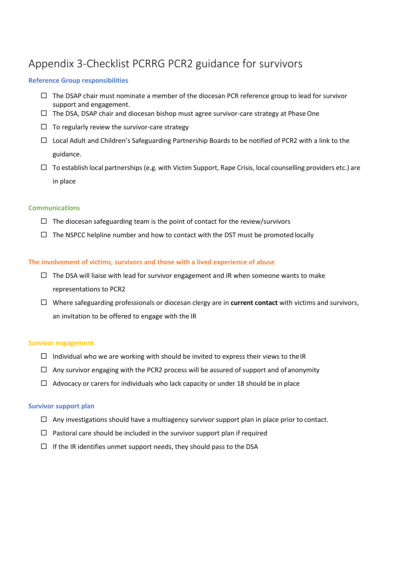# Appendix 3-Checklist PCRRG PCR2 guidance for survivors

#### **Reference Group responsibilities**

- $\Box$  The DSAP chair must nominate a member of the diocesan PCR reference group to lead for survivor support and engagement.
- $\Box$  The DSA, DSAP chair and diocesan bishop must agree survivor-care strategy at Phase One
- $\Box$  To regularly review the survivor-care strategy
- $\Box$  Local Adult and Children's Safeguarding Partnership Boards to be notified of PCR2 with a link to the guidance.
- $\Box$  To establish local partnerships (e.g. with Victim Support, Rape Crisis, local counselling providers etc.) are in place

#### **Communications**

- $\Box$  The diocesan safeguarding team is the point of contact for the review/survivors
- $\Box$  The NSPCC helpline number and how to contact with the DST must be promoted locally

#### **The involvement of victims, survivors and those with a lived experience of abuse**

- $\Box$  The DSA will liaise with lead for survivor engagement and IR when someone wants to make representations to PCR2
- Where safeguarding professionals or diocesan clergy are in **current contact** with victims and survivors, an invitation to be offered to engage with the IR

#### **Survivor engagement**

- $\Box$  Individual who we are working with should be invited to express their views to the IR
- $\Box$  Any survivor engaging with the PCR2 process will be assured of support and of anonymity
- $\Box$  Advocacy or carers for individuals who lack capacity or under 18 should be in place

#### **Survivor support plan**

- $\Box$  Any investigations should have a multiagency survivor support plan in place prior to contact.
- $\Box$  Pastoral care should be included in the survivor support plan if required
- $\Box$  If the IR identifies unmet support needs, they should pass to the DSA